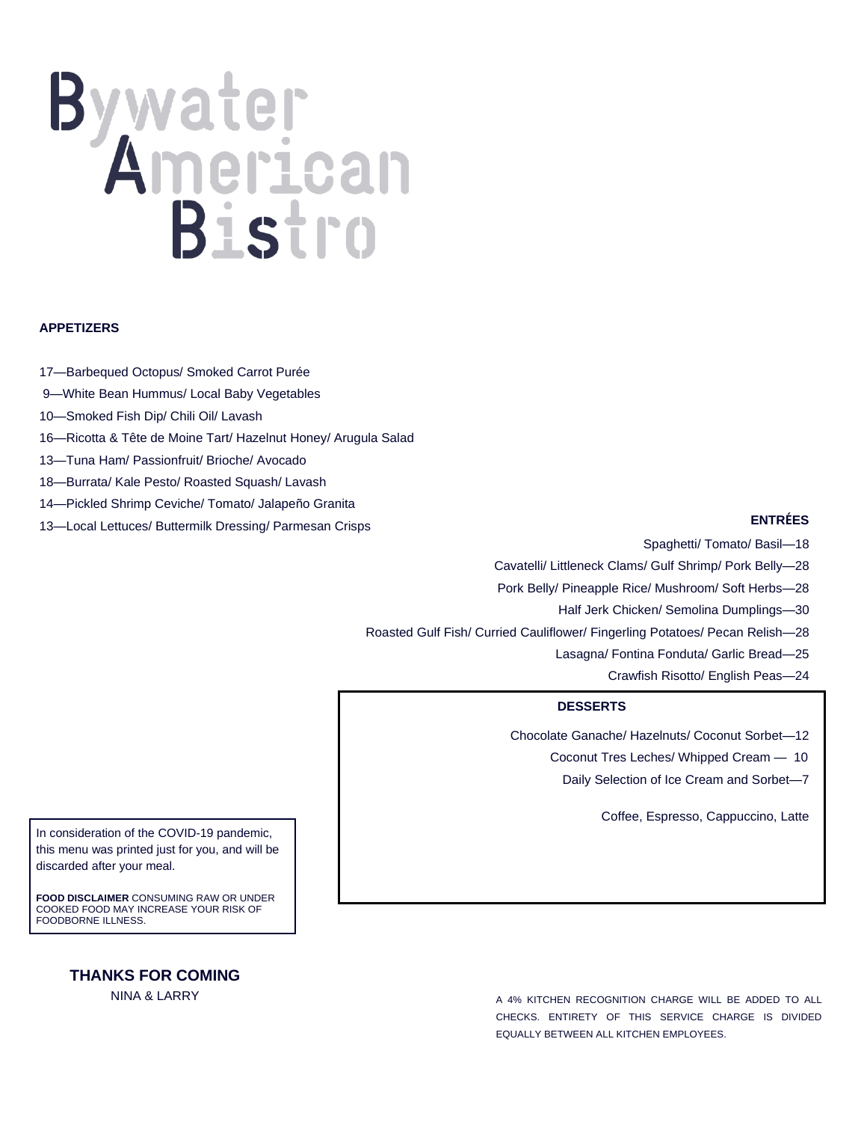# Bistro

# **APPETIZERS**

- 17—Barbequed Octopus/ Smoked Carrot Purée
- 9—White Bean Hummus/ Local Baby Vegetables
- 10—Smoked Fish Dip/ Chili Oil/ Lavash
- 16—Ricotta & Tête de Moine Tart/ Hazelnut Honey/ Arugula Salad
- 13—Tuna Ham/ Passionfruit/ Brioche/ Avocado
- 18—Burrata/ Kale Pesto/ Roasted Squash/ Lavash
- 14—Pickled Shrimp Ceviche/ Tomato/ Jalapeño Granita
- 13—Local Lettuces/ Buttermilk Dressing/ Parmesan Crisps

### **ENTRÉES**

Spaghetti/ Tomato/ Basil—18

Cavatelli/ Littleneck Clams/ Gulf Shrimp/ Pork Belly—28

Pork Belly/ Pineapple Rice/ Mushroom/ Soft Herbs—28

Half Jerk Chicken/ Semolina Dumplings—30

Roasted Gulf Fish/ Curried Cauliflower/ Fingerling Potatoes/ Pecan Relish—28

- Lasagna/ Fontina Fonduta/ Garlic Bread—25
	- Crawfish Risotto/ English Peas—24

## **DESSERTS**

Chocolate Ganache/ Hazelnuts/ Coconut Sorbet—12

Coconut Tres Leches/ Whipped Cream — 10

Daily Selection of Ice Cream and Sorbet—7

Coffee, Espresso, Cappuccino, Latte

In consideration of the COVID-19 pandemic, this menu was printed just for you, and will be discarded after your meal.

**FOOD DISCLAIMER** CONSUMING RAW OR UNDER COOKED FOOD MAY INCREASE YOUR RISK OF FOODBORNE ILLNESS.

> **THANKS FOR COMING** NINA & LARRY

A 4% KITCHEN RECOGNITION CHARGE WILL BE ADDED TO ALL CHECKS. ENTIRETY OF THIS SERVICE CHARGE IS DIVIDED EQUALLY BETWEEN ALL KITCHEN EMPLOYEES.